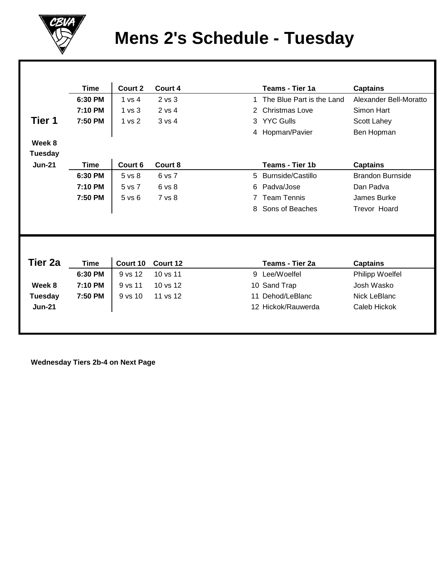

## **Mens 2's Schedule - Tuesday**

|                | <b>Time</b> | Court 2           | Court 4  |    | Teams - Tier 1a           | <b>Captains</b>         |
|----------------|-------------|-------------------|----------|----|---------------------------|-------------------------|
|                | 6:30 PM     | 1 vs 4            | 2 vs 3   | 1  | The Blue Part is the Land | Alexander Bell-Moratto  |
|                | 7:10 PM     | 1 <sub>vs</sub> 3 | 2 vs 4   | 2  | <b>Christmas Love</b>     | Simon Hart              |
| Tier 1         | 7:50 PM     | 1 vs 2            | 3 vs 4   | 3  | <b>YYC Gulls</b>          | Scott Lahey             |
|                |             |                   |          |    | 4 Hopman/Pavier           | Ben Hopman              |
| Week 8         |             |                   |          |    |                           |                         |
| <b>Tuesday</b> |             |                   |          |    |                           |                         |
| <b>Jun-21</b>  | <b>Time</b> | Court 6           | Court 8  |    | Teams - Tier 1b           | <b>Captains</b>         |
|                | 6:30 PM     | 5 vs 8            | 6 vs 7   | 5  | <b>Burnside/Castillo</b>  | <b>Brandon Burnside</b> |
|                | 7:10 PM     | 5 vs 7            | 6 vs 8   | 6  | Padva/Jose                | Dan Padva               |
|                | 7:50 PM     | 5 vs 6            | 7 vs 8   |    | <b>Team Tennis</b>        | James Burke             |
|                |             |                   |          | 8  | Sons of Beaches           | <b>Trevor Hoard</b>     |
|                |             |                   |          |    |                           |                         |
|                |             |                   |          |    |                           |                         |
|                |             |                   |          |    |                           |                         |
|                |             |                   |          |    |                           |                         |
| Tier 2a        | <b>Time</b> | Court 10          | Court 12 |    | Teams - Tier 2a           | <b>Captains</b>         |
|                | 6:30 PM     | 9 vs 12           | 10 vs 11 |    | 9 Lee/Woelfel             | Philipp Woelfel         |
| Week 8         | 7:10 PM     | 9 vs 11           | 10 vs 12 | 10 | Sand Trap                 | Josh Wasko              |
| <b>Tuesday</b> | 7:50 PM     | $9$ vs $10$       | 11 vs 12 | 11 | Dehod/LeBlanc             | Nick LeBlanc            |
| $Jun-21$       |             |                   |          |    | 12 Hickok/Rauwerda        | Caleb Hickok            |
|                |             |                   |          |    |                           |                         |
|                |             |                   |          |    |                           |                         |

 **Wednesday Tiers 2b-4 on Next Page**